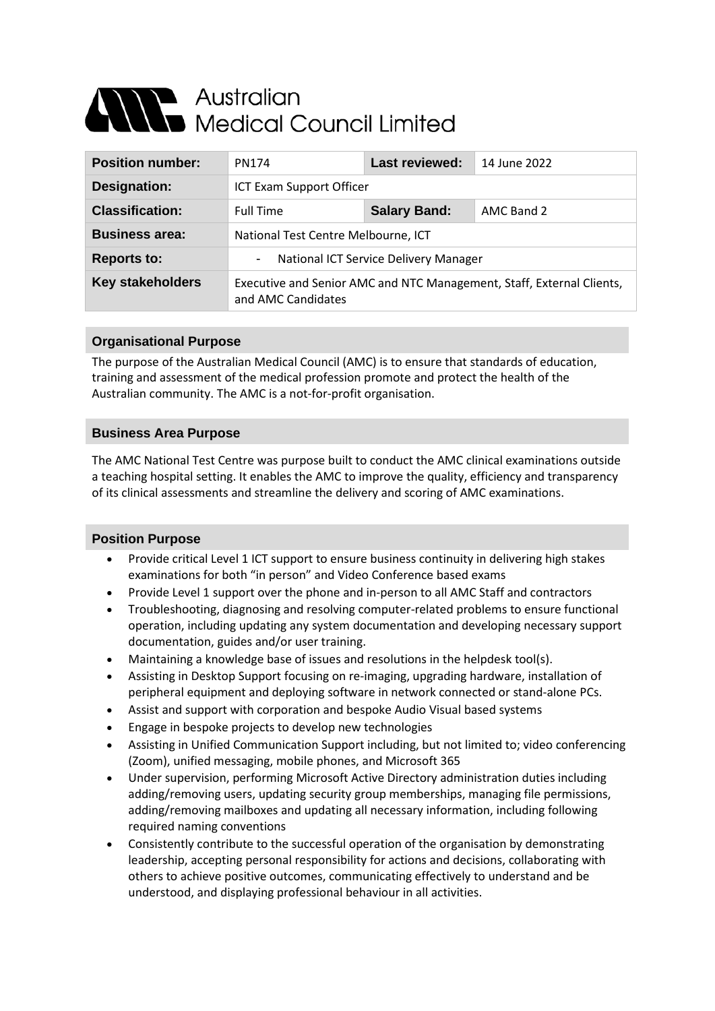# Alle Australian<br>Alle Medical Council Limited

| <b>Position number:</b> | PN174                                                                                       | Last reviewed:      | 14 June 2022 |
|-------------------------|---------------------------------------------------------------------------------------------|---------------------|--------------|
| Designation:            | ICT Exam Support Officer                                                                    |                     |              |
| <b>Classification:</b>  | <b>Full Time</b>                                                                            | <b>Salary Band:</b> | AMC Band 2   |
| <b>Business area:</b>   | National Test Centre Melbourne, ICT                                                         |                     |              |
| <b>Reports to:</b>      | National ICT Service Delivery Manager<br>-                                                  |                     |              |
| <b>Key stakeholders</b> | Executive and Senior AMC and NTC Management, Staff, External Clients,<br>and AMC Candidates |                     |              |

## **Organisational Purpose**

The purpose of the Australian Medical Council (AMC) is to ensure that standards of education, training and assessment of the medical profession promote and protect the health of the Australian community. The AMC is a not-for-profit organisation.

## **Business Area Purpose**

The AMC National Test Centre was purpose built to conduct the AMC clinical examinations outside a teaching hospital setting. It enables the AMC to improve the quality, efficiency and transparency of its clinical assessments and streamline the delivery and scoring of AMC examinations.

## **Position Purpose**

- Provide critical Level 1 ICT support to ensure business continuity in delivering high stakes examinations for both "in person" and Video Conference based exams
- Provide Level 1 support over the phone and in-person to all AMC Staff and contractors
- Troubleshooting, diagnosing and resolving computer-related problems to ensure functional operation, including updating any system documentation and developing necessary support documentation, guides and/or user training.
- Maintaining a knowledge base of issues and resolutions in the helpdesk tool(s).
- Assisting in Desktop Support focusing on re-imaging, upgrading hardware, installation of peripheral equipment and deploying software in network connected or stand-alone PCs.
- Assist and support with corporation and bespoke Audio Visual based systems
- Engage in bespoke projects to develop new technologies
- Assisting in Unified Communication Support including, but not limited to; video conferencing (Zoom), unified messaging, mobile phones, and Microsoft 365
- Under supervision, performing Microsoft Active Directory administration duties including adding/removing users, updating security group memberships, managing file permissions, adding/removing mailboxes and updating all necessary information, including following required naming conventions
- Consistently contribute to the successful operation of the organisation by demonstrating leadership, accepting personal responsibility for actions and decisions, collaborating with others to achieve positive outcomes, communicating effectively to understand and be understood, and displaying professional behaviour in all activities.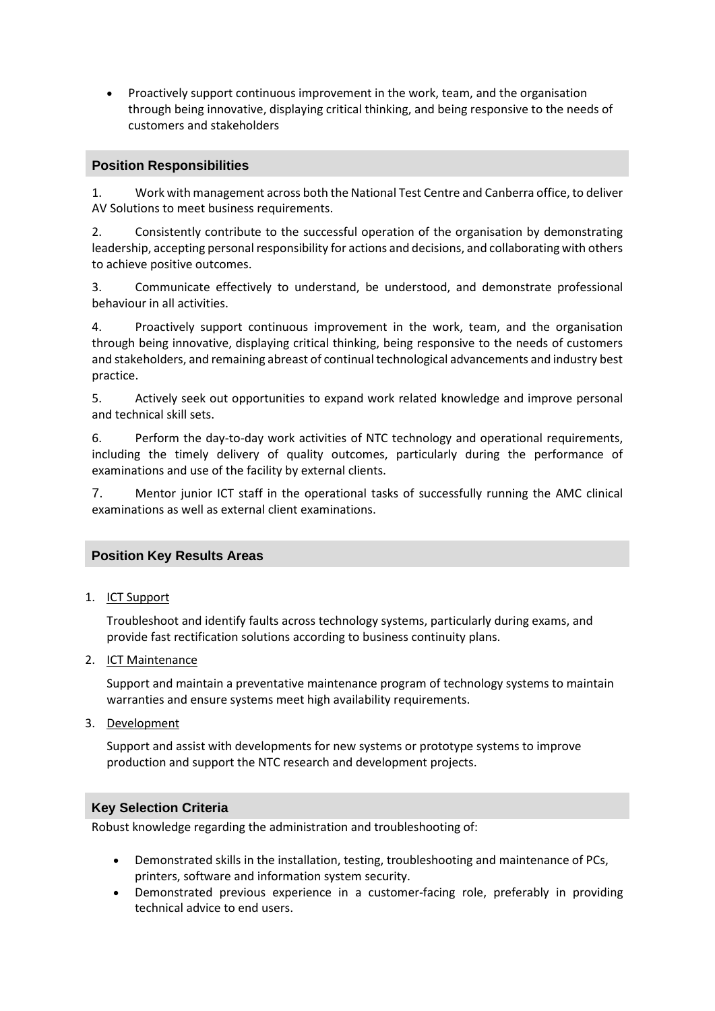• Proactively support continuous improvement in the work, team, and the organisation through being innovative, displaying critical thinking, and being responsive to the needs of customers and stakeholders

## **Position Responsibilities**

1. Work with management across both the National Test Centre and Canberra office, to deliver AV Solutions to meet business requirements.

2. Consistently contribute to the successful operation of the organisation by demonstrating leadership, accepting personal responsibility for actions and decisions, and collaborating with others to achieve positive outcomes.

3. Communicate effectively to understand, be understood, and demonstrate professional behaviour in all activities.

4. Proactively support continuous improvement in the work, team, and the organisation through being innovative, displaying critical thinking, being responsive to the needs of customers and stakeholders, and remaining abreast of continual technological advancements and industry best practice.

5. Actively seek out opportunities to expand work related knowledge and improve personal and technical skill sets.

6. Perform the day-to-day work activities of NTC technology and operational requirements, including the timely delivery of quality outcomes, particularly during the performance of examinations and use of the facility by external clients.

7. Mentor junior ICT staff in the operational tasks of successfully running the AMC clinical examinations as well as external client examinations.

#### **Position Key Results Areas**

1. ICT Support

Troubleshoot and identify faults across technology systems, particularly during exams, and provide fast rectification solutions according to business continuity plans.

2. ICT Maintenance

Support and maintain a preventative maintenance program of technology systems to maintain warranties and ensure systems meet high availability requirements.

3. Development

Support and assist with developments for new systems or prototype systems to improve production and support the NTC research and development projects.

#### **Key Selection Criteria**

Robust knowledge regarding the administration and troubleshooting of:

- Demonstrated skills in the installation, testing, troubleshooting and maintenance of PCs, printers, software and information system security.
- Demonstrated previous experience in a customer-facing role, preferably in providing technical advice to end users.